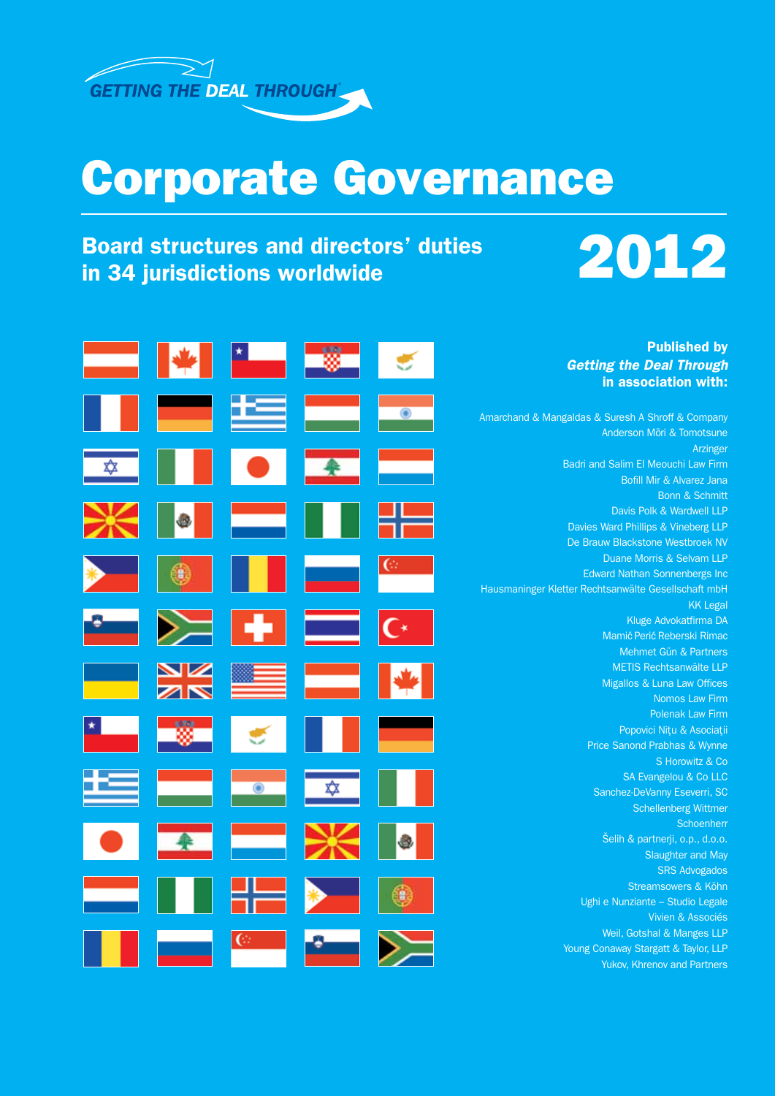

## Corporate Governance

## Board structures and directors' duties<br>in 34 jurisdictions worldwide<br>



|                                 |                          |                     |                | <b>Published by</b>                                 |
|---------------------------------|--------------------------|---------------------|----------------|-----------------------------------------------------|
|                                 |                          |                     |                | <b>Getting the Deal Through</b>                     |
|                                 |                          |                     |                | in association with:                                |
|                                 |                          |                     |                |                                                     |
|                                 | ٢Œ                       |                     |                | Amarchand & Mangaldas & Suresh A Shroff & Company   |
|                                 |                          |                     |                | Anderson Mori & Tomotsune                           |
|                                 |                          |                     |                | Arzinger                                            |
|                                 | $\bullet$                |                     |                | Badri and Salim El Meouchi Law Firm                 |
|                                 |                          |                     |                | Bofill Mir & Alvarez Jana                           |
|                                 |                          |                     |                | <b>Bonn &amp; Schmitt</b>                           |
|                                 |                          |                     |                | Davis Polk & Wardwell LLP                           |
| O,                              | <b>Contract</b>          |                     |                | Davies Ward Phillips & Vineberg LLP                 |
|                                 |                          |                     |                | De Brauw Blackstone Westbroek NV                    |
|                                 |                          |                     |                | Duane Morris & Selvam LLP                           |
|                                 |                          | <u> Estados de </u> |                | <b>Edward Nathan Sonnenbergs Inc</b>                |
|                                 |                          |                     |                | Hausmaninger Kletter Rechtsanwälte Gesellschaft mbH |
|                                 |                          |                     |                | <b>KK Legal</b>                                     |
|                                 | $\geq$ + $\equiv$        |                     |                | Kluge Advokatfirma DA                               |
|                                 |                          |                     | $\mathsf{C}^*$ | Mamić Perić Reberski Rimac                          |
|                                 |                          |                     |                | Mehmet Gün & Partners                               |
|                                 |                          |                     |                | METIS Rechtsanwälte LLP                             |
| $\frac{\mathbf{N}}{\mathbf{N}}$ | ▀▀                       | ▅                   |                | Migallos & Luna Law Offices                         |
|                                 |                          |                     |                | Nomos Law Firm                                      |
|                                 |                          |                     |                | Polenak Law Firm                                    |
|                                 |                          |                     |                | Popovici Nițu & Asociații                           |
|                                 |                          |                     |                | Price Sanond Prabhas & Wynne                        |
|                                 |                          |                     |                | S Horowitz & Co                                     |
|                                 |                          |                     |                | SA Evangelou & Co LLC                               |
|                                 | $\overline{\phantom{a}}$ | $\frac{1}{2}$       |                | Sanchez-DeVanny Eseverri, SC                        |
|                                 |                          |                     |                | <b>Schellenberg Wittmer</b>                         |
|                                 |                          |                     |                | Schoenherr                                          |
|                                 | <b>Contract</b>          |                     |                | Šelih & partnerji, o.p., d.o.o.                     |
|                                 |                          |                     |                | <b>Slaughter and May</b>                            |
|                                 |                          |                     |                | <b>SRS Advogados</b>                                |
|                                 |                          |                     |                | Streamsowers & Köhn                                 |
|                                 |                          |                     |                | Ughi e Nunziante - Studio Legale                    |
|                                 |                          |                     |                | Vivien & Associés                                   |
|                                 | ⊙                        |                     |                | Weil, Gotshal & Manges LLP                          |
|                                 |                          |                     |                | Young Conaway Stargatt & Taylor, LLP                |
|                                 |                          |                     |                | Yukov, Khrenov and Partners                         |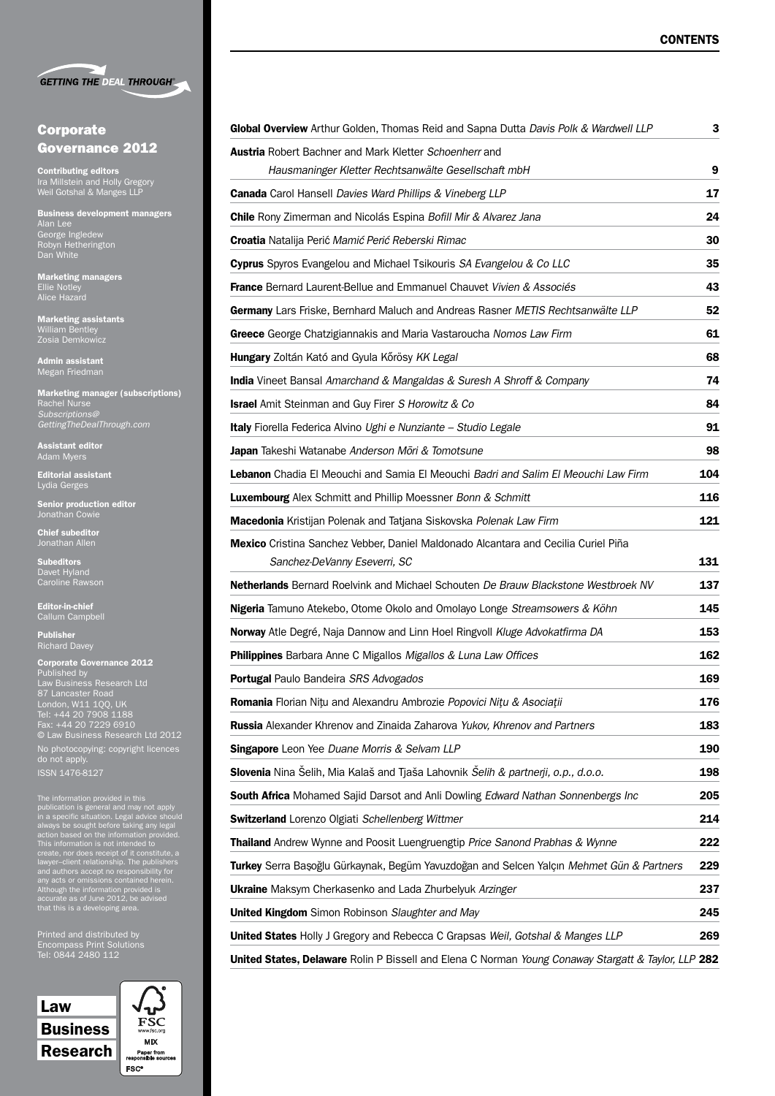|  | <b>GETTING THE DEAL THROUGH®</b> |
|--|----------------------------------|

### Corporate Governance 2012

Contributing editors Ira Millstein and Holly Gregory Weil Gotshal & Manges LLP

Business development managers Alan Lee George Ingledew Robyn Hetherington Dan White

Marketing managers Ellie Notley Alice Hazard

Marketing assistants William Bentley

Admin assistant Megan Friedman

Marketing manager (subscriptions) Rachel Nurse *Subscriptions@ GettingTheDealThrough.com*

Assistant editor Adam Myers

Editorial assistant Lydia Gerges

Senior production editor Jonathan Cowie

Chief subeditor Jonathan Allen

Subeditors Davet Hyland Caroline Rawson

Editor-in-chief Callum Campbell

Publisher Richard Davey

| <b>Corporate Governance 2012</b>        |
|-----------------------------------------|
| Published by                            |
| Law Business Research Ltd               |
| 87 Lancaster Road                       |
| London, W11 100, UK                     |
| Tel: +44 20 7908 1188                   |
| Fax: +44 20 7229 6910                   |
| <b>C</b> Law Business Research Ltd 2012 |
| No photocopying: copyright licences     |
| do not apply.                           |
| <b>ISSN 1476-8127</b>                   |

The information provided in this<br>publication is general and may not apply<br>in a specific situation. Legal advice should<br>always be sought before taking any legal<br>action based on the information provided.<br>This information is

Printed and distributed by Tel: 0844 2480 112



| Global Overview Arthur Golden, Thomas Reid and Sapna Dutta Davis Polk & Wardwell LLP                | З   |
|-----------------------------------------------------------------------------------------------------|-----|
| <b>Austria</b> Robert Bachner and Mark Kletter Schoenherr and                                       |     |
| Hausmaninger Kletter Rechtsanwälte Gesellschaft mbH                                                 | 9   |
| <b>Canada</b> Carol Hansell Davies Ward Phillips & Vineberg LLP                                     | 17  |
| <b>Chile</b> Rony Zimerman and Nicolás Espina Bofill Mir & Alvarez Jana                             | 24  |
| <b>Croatia</b> Natalija Perić Mamić Perić Reberski Rimac                                            | 30  |
| <b>Cyprus</b> Spyros Evangelou and Michael Tsikouris SA Evangelou & Co LLC                          | 35  |
| <b>France</b> Bernard Laurent-Bellue and Emmanuel Chauvet Vivien & Associés                         | 43  |
| Germany Lars Friske, Bernhard Maluch and Andreas Rasner METIS Rechtsanwälte LLP                     | 52  |
| Greece George Chatzigiannakis and Maria Vastaroucha Nomos Law Firm                                  | 61  |
| Hungary Zoltán Kató and Gyula Kőrösy KK Legal                                                       | 68  |
| <b>India</b> Vineet Bansal Amarchand & Mangaldas & Suresh A Shroff & Company                        | 74  |
| <b>Israel</b> Amit Steinman and Guy Firer S Horowitz & Co                                           | 84  |
| Italy Fiorella Federica Alvino Ughi e Nunziante - Studio Legale                                     | 91  |
| Japan Takeshi Watanabe Anderson Mori & Tomotsune                                                    | 98  |
| Lebanon Chadia El Meouchi and Samia El Meouchi Badri and Salim El Meouchi Law Firm                  | 104 |
| Luxembourg Alex Schmitt and Phillip Moessner Bonn & Schmitt                                         | 116 |
| Macedonia Kristijan Polenak and Tatjana Siskovska Polenak Law Firm                                  | 121 |
| Mexico Cristina Sanchez Vebber, Daniel Maldonado Alcantara and Cecilia Curiel Piña                  |     |
| Sanchez-DeVanny Eseverri, SC                                                                        | 131 |
| <b>Netherlands</b> Bernard Roelvink and Michael Schouten De Brauw Blackstone Westbroek NV           | 137 |
| Nigeria Tamuno Atekebo, Otome Okolo and Omolayo Longe Streamsowers & Köhn                           | 145 |
| Norway Atle Degré, Naja Dannow and Linn Hoel Ringvoll Kluge Advokatfirma DA                         | 153 |
| <b>Philippines</b> Barbara Anne C Migallos Migallos & Luna Law Offices                              | 162 |
| <b>Portugal Paulo Bandeira SRS Advogados</b>                                                        | 169 |
| <b>Romania</b> Florian Nitu and Alexandru Ambrozie Popovici Nitu & Asociații                        | 176 |
| <b>Russia</b> Alexander Khrenov and Zinaida Zaharova Yukov, Khrenov and Partners                    | 183 |
| <b>Singapore</b> Leon Yee Duane Morris & Selvam LLP                                                 | 190 |
| Slovenia Nina Šelih, Mia Kalaš and Tjaša Lahovnik Šelih & partnerji, o.p., d.o.o.                   | 198 |
| <b>South Africa</b> Mohamed Sajid Darsot and Anli Dowling Edward Nathan Sonnenbergs Inc             | 205 |
| <b>Switzerland</b> Lorenzo Olgiati Schellenberg Wittmer                                             | 214 |
| <b>Thailand</b> Andrew Wynne and Poosit Luengruengtip Price Sanond Prabhas & Wynne                  | 222 |
| Turkey Serra Başoğlu Gürkaynak, Begüm Yavuzdoğan and Selcen Yalçın Mehmet Gün & Partners            | 229 |
| <b>Ukraine</b> Maksym Cherkasenko and Lada Zhurbelyuk Arzinger                                      | 237 |
| <b>United Kingdom</b> Simon Robinson Slaughter and May                                              | 245 |
| <b>United States</b> Holly J Gregory and Rebecca C Grapsas Weil, Gotshal & Manges LLP               | 269 |
| United States, Delaware Rolin P Bissell and Elena C Norman Young Conaway Stargatt & Taylor, LLP 282 |     |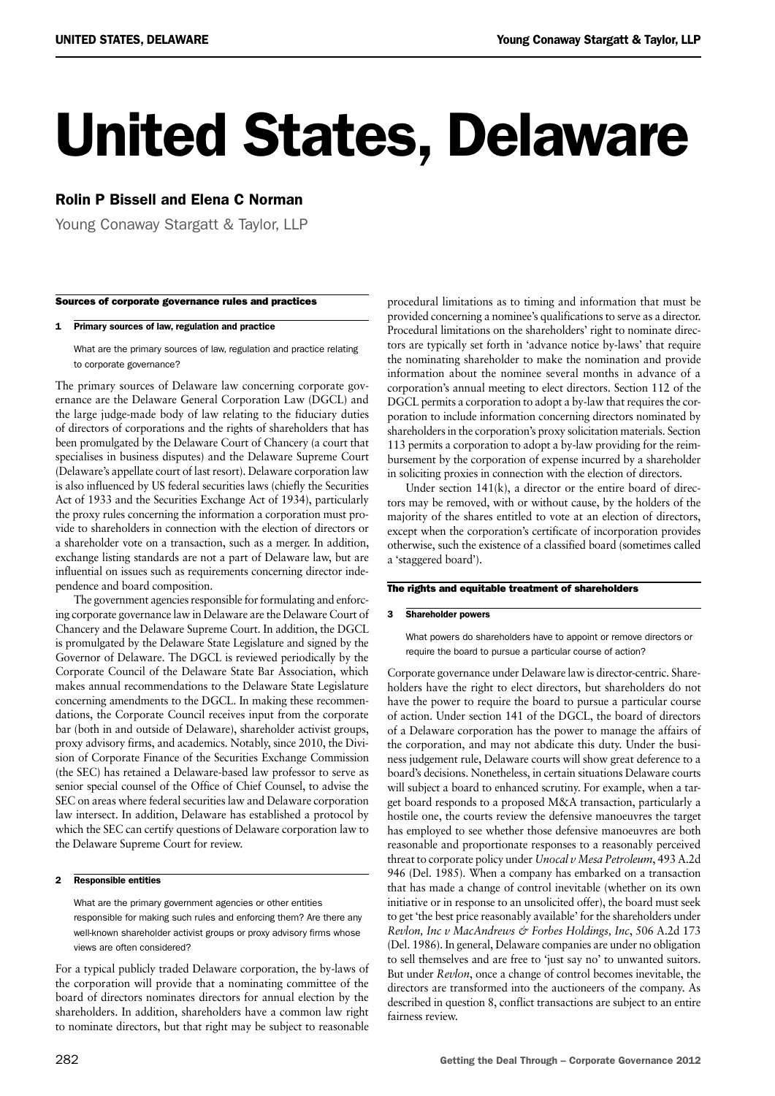# United States, Delaware

### Rolin P Bissell and Elena C Norman

Young Conaway Stargatt & Taylor, LLP

#### Sources of corporate governance rules and practices

#### 1 Primary sources of law, regulation and practice

What are the primary sources of law, regulation and practice relating to corporate governance?

The primary sources of Delaware law concerning corporate governance are the Delaware General Corporation Law (DGCL) and the large judge-made body of law relating to the fiduciary duties of directors of corporations and the rights of shareholders that has been promulgated by the Delaware Court of Chancery (a court that specialises in business disputes) and the Delaware Supreme Court (Delaware's appellate court of last resort). Delaware corporation law is also influenced by US federal securities laws (chiefly the Securities Act of 1933 and the Securities Exchange Act of 1934), particularly the proxy rules concerning the information a corporation must provide to shareholders in connection with the election of directors or a shareholder vote on a transaction, such as a merger. In addition, exchange listing standards are not a part of Delaware law, but are influential on issues such as requirements concerning director independence and board composition.

The government agencies responsible for formulating and enforcing corporate governance law in Delaware are the Delaware Court of Chancery and the Delaware Supreme Court. In addition, the DGCL is promulgated by the Delaware State Legislature and signed by the Governor of Delaware. The DGCL is reviewed periodically by the Corporate Council of the Delaware State Bar Association, which makes annual recommendations to the Delaware State Legislature concerning amendments to the DGCL. In making these recommendations, the Corporate Council receives input from the corporate bar (both in and outside of Delaware), shareholder activist groups, proxy advisory firms, and academics. Notably, since 2010, the Division of Corporate Finance of the Securities Exchange Commission (the SEC) has retained a Delaware-based law professor to serve as senior special counsel of the Office of Chief Counsel, to advise the SEC on areas where federal securities law and Delaware corporation law intersect. In addition, Delaware has established a protocol by which the SEC can certify questions of Delaware corporation law to the Delaware Supreme Court for review.

#### 2 Responsible entities

What are the primary government agencies or other entities responsible for making such rules and enforcing them? Are there any well-known shareholder activist groups or proxy advisory firms whose views are often considered?

For a typical publicly traded Delaware corporation, the by-laws of the corporation will provide that a nominating committee of the board of directors nominates directors for annual election by the shareholders. In addition, shareholders have a common law right to nominate directors, but that right may be subject to reasonable

procedural limitations as to timing and information that must be provided concerning a nominee's qualifications to serve as a director. Procedural limitations on the shareholders' right to nominate directors are typically set forth in 'advance notice by-laws' that require the nominating shareholder to make the nomination and provide information about the nominee several months in advance of a corporation's annual meeting to elect directors. Section 112 of the DGCL permits a corporation to adopt a by-law that requires the corporation to include information concerning directors nominated by shareholders in the corporation's proxy solicitation materials. Section 113 permits a corporation to adopt a by-law providing for the reimbursement by the corporation of expense incurred by a shareholder in soliciting proxies in connection with the election of directors.

Under section 141(k), a director or the entire board of directors may be removed, with or without cause, by the holders of the majority of the shares entitled to vote at an election of directors, except when the corporation's certificate of incorporation provides otherwise, such the existence of a classified board (sometimes called a 'staggered board').

#### The rights and equitable treatment of shareholders

#### 3 Shareholder powers

What powers do shareholders have to appoint or remove directors or require the board to pursue a particular course of action?

Corporate governance under Delaware law is director-centric. Shareholders have the right to elect directors, but shareholders do not have the power to require the board to pursue a particular course of action. Under section 141 of the DGCL, the board of directors of a Delaware corporation has the power to manage the affairs of the corporation, and may not abdicate this duty. Under the business judgement rule, Delaware courts will show great deference to a board's decisions. Nonetheless, in certain situations Delaware courts will subject a board to enhanced scrutiny. For example, when a target board responds to a proposed M&A transaction, particularly a hostile one, the courts review the defensive manoeuvres the target has employed to see whether those defensive manoeuvres are both reasonable and proportionate responses to a reasonably perceived threat to corporate policy under *Unocal v Mesa Petroleum*, 493 A.2d 946 (Del. 1985). When a company has embarked on a transaction that has made a change of control inevitable (whether on its own initiative or in response to an unsolicited offer), the board must seek to get 'the best price reasonably available' for the shareholders under *Revlon, Inc v MacAndrews & Forbes Holdings, Inc*, 506 A.2d 173 (Del. 1986). In general, Delaware companies are under no obligation to sell themselves and are free to 'just say no' to unwanted suitors. But under *Revlon*, once a change of control becomes inevitable, the directors are transformed into the auctioneers of the company. As described in question 8, conflict transactions are subject to an entire fairness review.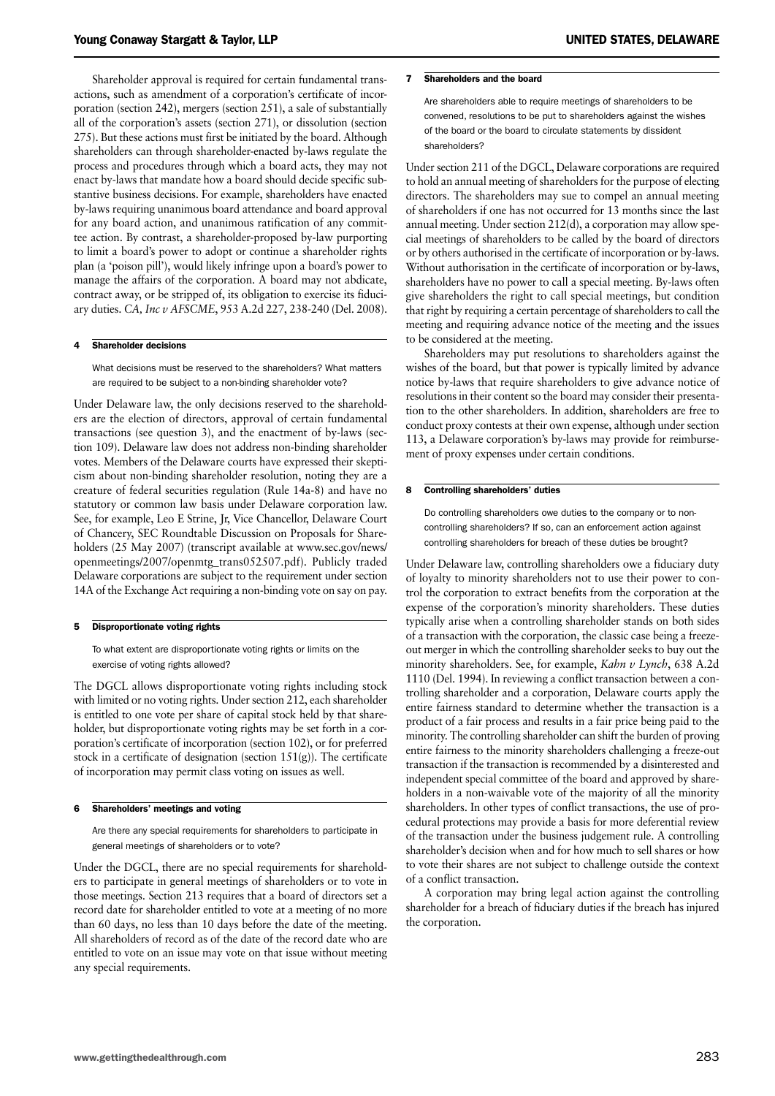Shareholder approval is required for certain fundamental transactions, such as amendment of a corporation's certificate of incorporation (section 242), mergers (section 251), a sale of substantially all of the corporation's assets (section 271), or dissolution (section 275). But these actions must first be initiated by the board. Although shareholders can through shareholder-enacted by-laws regulate the process and procedures through which a board acts, they may not enact by-laws that mandate how a board should decide specific substantive business decisions. For example, shareholders have enacted by-laws requiring unanimous board attendance and board approval for any board action, and unanimous ratification of any committee action. By contrast, a shareholder-proposed by-law purporting to limit a board's power to adopt or continue a shareholder rights plan (a 'poison pill'), would likely infringe upon a board's power to manage the affairs of the corporation. A board may not abdicate, contract away, or be stripped of, its obligation to exercise its fiduciary duties. *CA, Inc v AFSCME*, 953 A.2d 227, 238-240 (Del. 2008).

#### 4 Shareholder decisions

What decisions must be reserved to the shareholders? What matters are required to be subject to a non-binding shareholder vote?

Under Delaware law, the only decisions reserved to the shareholders are the election of directors, approval of certain fundamental transactions (see question 3), and the enactment of by-laws (section 109). Delaware law does not address non-binding shareholder votes. Members of the Delaware courts have expressed their skepticism about non-binding shareholder resolution, noting they are a creature of federal securities regulation (Rule 14a-8) and have no statutory or common law basis under Delaware corporation law. See, for example, Leo E Strine, Jr, Vice Chancellor, Delaware Court of Chancery, SEC Roundtable Discussion on Proposals for Shareholders (25 May 2007) (transcript available at www.sec.gov/news/ openmeetings/2007/openmtg\_trans052507.pdf). Publicly traded Delaware corporations are subject to the requirement under section 14A of the Exchange Act requiring a non-binding vote on say on pay.

#### 5 Disproportionate voting rights

To what extent are disproportionate voting rights or limits on the exercise of voting rights allowed?

The DGCL allows disproportionate voting rights including stock with limited or no voting rights. Under section 212, each shareholder is entitled to one vote per share of capital stock held by that shareholder, but disproportionate voting rights may be set forth in a corporation's certificate of incorporation (section 102), or for preferred stock in a certificate of designation (section 151(g)). The certificate of incorporation may permit class voting on issues as well.

#### 6 Shareholders' meetings and voting

Are there any special requirements for shareholders to participate in general meetings of shareholders or to vote?

Under the DGCL, there are no special requirements for shareholders to participate in general meetings of shareholders or to vote in those meetings. Section 213 requires that a board of directors set a record date for shareholder entitled to vote at a meeting of no more than 60 days, no less than 10 days before the date of the meeting. All shareholders of record as of the date of the record date who are entitled to vote on an issue may vote on that issue without meeting any special requirements.

#### 7 Shareholders and the board

Are shareholders able to require meetings of shareholders to be convened, resolutions to be put to shareholders against the wishes of the board or the board to circulate statements by dissident shareholders?

Under section 211 of the DGCL, Delaware corporations are required to hold an annual meeting of shareholders for the purpose of electing directors. The shareholders may sue to compel an annual meeting of shareholders if one has not occurred for 13 months since the last annual meeting. Under section 212(d), a corporation may allow special meetings of shareholders to be called by the board of directors or by others authorised in the certificate of incorporation or by-laws. Without authorisation in the certificate of incorporation or by-laws, shareholders have no power to call a special meeting. By-laws often give shareholders the right to call special meetings, but condition that right by requiring a certain percentage of shareholders to call the meeting and requiring advance notice of the meeting and the issues to be considered at the meeting.

Shareholders may put resolutions to shareholders against the wishes of the board, but that power is typically limited by advance notice by-laws that require shareholders to give advance notice of resolutions in their content so the board may consider their presentation to the other shareholders. In addition, shareholders are free to conduct proxy contests at their own expense, although under section 113, a Delaware corporation's by-laws may provide for reimbursement of proxy expenses under certain conditions.

#### 8 Controlling shareholders' duties

Do controlling shareholders owe duties to the company or to noncontrolling shareholders? If so, can an enforcement action against controlling shareholders for breach of these duties be brought?

Under Delaware law, controlling shareholders owe a fiduciary duty of loyalty to minority shareholders not to use their power to control the corporation to extract benefits from the corporation at the expense of the corporation's minority shareholders. These duties typically arise when a controlling shareholder stands on both sides of a transaction with the corporation, the classic case being a freezeout merger in which the controlling shareholder seeks to buy out the minority shareholders. See, for example, *Kahn v Lynch*, 638 A.2d 1110 (Del. 1994). In reviewing a conflict transaction between a controlling shareholder and a corporation, Delaware courts apply the entire fairness standard to determine whether the transaction is a product of a fair process and results in a fair price being paid to the minority. The controlling shareholder can shift the burden of proving entire fairness to the minority shareholders challenging a freeze-out transaction if the transaction is recommended by a disinterested and independent special committee of the board and approved by shareholders in a non-waivable vote of the majority of all the minority shareholders. In other types of conflict transactions, the use of procedural protections may provide a basis for more deferential review of the transaction under the business judgement rule. A controlling shareholder's decision when and for how much to sell shares or how to vote their shares are not subject to challenge outside the context of a conflict transaction.

A corporation may bring legal action against the controlling shareholder for a breach of fiduciary duties if the breach has injured the corporation.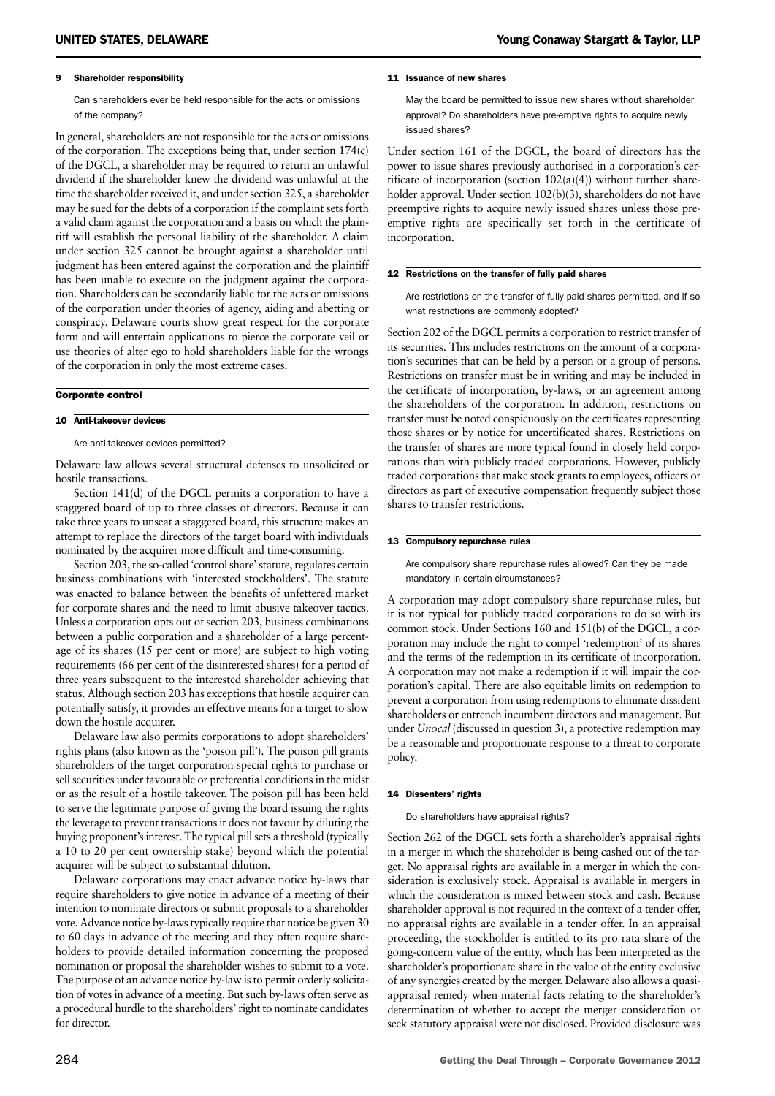#### 9 Shareholder responsibility

Can shareholders ever be held responsible for the acts or omissions of the company?

In general, shareholders are not responsible for the acts or omissions of the corporation. The exceptions being that, under section 174(c) of the DGCL, a shareholder may be required to return an unlawful dividend if the shareholder knew the dividend was unlawful at the time the shareholder received it, and under section 325, a shareholder may be sued for the debts of a corporation if the complaint sets forth a valid claim against the corporation and a basis on which the plaintiff will establish the personal liability of the shareholder. A claim under section 325 cannot be brought against a shareholder until judgment has been entered against the corporation and the plaintiff has been unable to execute on the judgment against the corporation. Shareholders can be secondarily liable for the acts or omissions of the corporation under theories of agency, aiding and abetting or conspiracy. Delaware courts show great respect for the corporate form and will entertain applications to pierce the corporate veil or use theories of alter ego to hold shareholders liable for the wrongs of the corporation in only the most extreme cases.

#### Corporate control

#### 10 Anti-takeover devices

Are anti-takeover devices permitted?

Delaware law allows several structural defenses to unsolicited or hostile transactions.

Section 141(d) of the DGCL permits a corporation to have a staggered board of up to three classes of directors. Because it can take three years to unseat a staggered board, this structure makes an attempt to replace the directors of the target board with individuals nominated by the acquirer more difficult and time-consuming.

Section 203, the so-called 'control share' statute, regulates certain business combinations with 'interested stockholders'. The statute was enacted to balance between the benefits of unfettered market for corporate shares and the need to limit abusive takeover tactics. Unless a corporation opts out of section 203, business combinations between a public corporation and a shareholder of a large percentage of its shares (15 per cent or more) are subject to high voting requirements (66 per cent of the disinterested shares) for a period of three years subsequent to the interested shareholder achieving that status. Although section 203 has exceptions that hostile acquirer can potentially satisfy, it provides an effective means for a target to slow down the hostile acquirer.

Delaware law also permits corporations to adopt shareholders' rights plans (also known as the 'poison pill'). The poison pill grants shareholders of the target corporation special rights to purchase or sell securities under favourable or preferential conditions in the midst or as the result of a hostile takeover. The poison pill has been held to serve the legitimate purpose of giving the board issuing the rights the leverage to prevent transactions it does not favour by diluting the buying proponent's interest. The typical pill sets a threshold (typically a 10 to 20 per cent ownership stake) beyond which the potential acquirer will be subject to substantial dilution.

Delaware corporations may enact advance notice by-laws that require shareholders to give notice in advance of a meeting of their intention to nominate directors or submit proposals to a shareholder vote. Advance notice by-laws typically require that notice be given 30 to 60 days in advance of the meeting and they often require shareholders to provide detailed information concerning the proposed nomination or proposal the shareholder wishes to submit to a vote. The purpose of an advance notice by-law is to permit orderly solicitation of votes in advance of a meeting. But such by-laws often serve as a procedural hurdle to the shareholders' right to nominate candidates for director.

May the board be permitted to issue new shares without shareholder approval? Do shareholders have pre-emptive rights to acquire newly issued shares?

Under section 161 of the DGCL, the board of directors has the power to issue shares previously authorised in a corporation's certificate of incorporation (section  $102(a)(4)$ ) without further shareholder approval. Under section 102(b)(3), shareholders do not have preemptive rights to acquire newly issued shares unless those preemptive rights are specifically set forth in the certificate of incorporation.

#### 12 Restrictions on the transfer of fully paid shares

Are restrictions on the transfer of fully paid shares permitted, and if so what restrictions are commonly adopted?

Section 202 of the DGCL permits a corporation to restrict transfer of its securities. This includes restrictions on the amount of a corporation's securities that can be held by a person or a group of persons. Restrictions on transfer must be in writing and may be included in the certificate of incorporation, by-laws, or an agreement among the shareholders of the corporation. In addition, restrictions on transfer must be noted conspicuously on the certificates representing those shares or by notice for uncertificated shares. Restrictions on the transfer of shares are more typical found in closely held corporations than with publicly traded corporations. However, publicly traded corporations that make stock grants to employees, officers or directors as part of executive compensation frequently subject those shares to transfer restrictions.

#### 13 Compulsory repurchase rules

Are compulsory share repurchase rules allowed? Can they be made mandatory in certain circumstances?

A corporation may adopt compulsory share repurchase rules, but it is not typical for publicly traded corporations to do so with its common stock. Under Sections 160 and 151(b) of the DGCL, a corporation may include the right to compel 'redemption' of its shares and the terms of the redemption in its certificate of incorporation. A corporation may not make a redemption if it will impair the corporation's capital. There are also equitable limits on redemption to prevent a corporation from using redemptions to eliminate dissident shareholders or entrench incumbent directors and management. But under *Unocal* (discussed in question 3), a protective redemption may be a reasonable and proportionate response to a threat to corporate policy.

#### 14 Dissenters' rights

Do shareholders have appraisal rights?

Section 262 of the DGCL sets forth a shareholder's appraisal rights in a merger in which the shareholder is being cashed out of the target. No appraisal rights are available in a merger in which the consideration is exclusively stock. Appraisal is available in mergers in which the consideration is mixed between stock and cash. Because shareholder approval is not required in the context of a tender offer, no appraisal rights are available in a tender offer. In an appraisal proceeding, the stockholder is entitled to its pro rata share of the going-concern value of the entity, which has been interpreted as the shareholder's proportionate share in the value of the entity exclusive of any synergies created by the merger. Delaware also allows a quasiappraisal remedy when material facts relating to the shareholder's determination of whether to accept the merger consideration or seek statutory appraisal were not disclosed. Provided disclosure was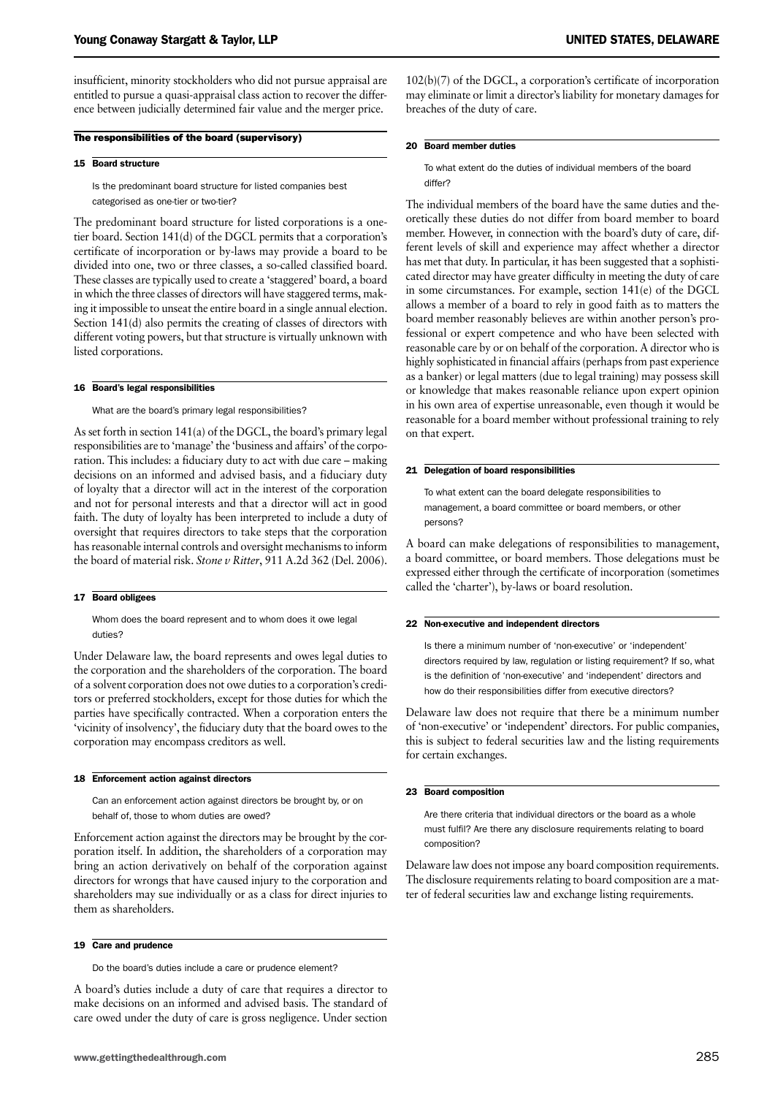insufficient, minority stockholders who did not pursue appraisal are entitled to pursue a quasi-appraisal class action to recover the difference between judicially determined fair value and the merger price.

#### The responsibilities of the board (supervisory)

#### 15 Board structure

Is the predominant board structure for listed companies best categorised as one-tier or two-tier?

The predominant board structure for listed corporations is a onetier board. Section 141(d) of the DGCL permits that a corporation's certificate of incorporation or by-laws may provide a board to be divided into one, two or three classes, a so-called classified board. These classes are typically used to create a 'staggered' board, a board in which the three classes of directors will have staggered terms, making it impossible to unseat the entire board in a single annual election. Section 141(d) also permits the creating of classes of directors with different voting powers, but that structure is virtually unknown with listed corporations.

#### 16 Board's legal responsibilities

What are the board's primary legal responsibilities?

As set forth in section 141(a) of the DGCL, the board's primary legal responsibilities are to 'manage' the 'business and affairs' of the corporation. This includes: a fiduciary duty to act with due care – making decisions on an informed and advised basis, and a fiduciary duty of loyalty that a director will act in the interest of the corporation and not for personal interests and that a director will act in good faith. The duty of loyalty has been interpreted to include a duty of oversight that requires directors to take steps that the corporation has reasonable internal controls and oversight mechanisms to inform the board of material risk. *Stone v Ritter*, 911 A.2d 362 (Del. 2006).

#### 17 Board obligees

Whom does the board represent and to whom does it owe legal duties?

Under Delaware law, the board represents and owes legal duties to the corporation and the shareholders of the corporation. The board of a solvent corporation does not owe duties to a corporation's creditors or preferred stockholders, except for those duties for which the parties have specifically contracted. When a corporation enters the 'vicinity of insolvency', the fiduciary duty that the board owes to the corporation may encompass creditors as well.

#### 18 Enforcement action against directors

Can an enforcement action against directors be brought by, or on behalf of, those to whom duties are owed?

Enforcement action against the directors may be brought by the corporation itself. In addition, the shareholders of a corporation may bring an action derivatively on behalf of the corporation against directors for wrongs that have caused injury to the corporation and shareholders may sue individually or as a class for direct injuries to them as shareholders.

#### 19 Care and prudence

Do the board's duties include a care or prudence element?

A board's duties include a duty of care that requires a director to make decisions on an informed and advised basis. The standard of care owed under the duty of care is gross negligence. Under section

102(b)(7) of the DGCL, a corporation's certificate of incorporation may eliminate or limit a director's liability for monetary damages for breaches of the duty of care.

#### 20 Board member duties

To what extent do the duties of individual members of the board differ?

The individual members of the board have the same duties and theoretically these duties do not differ from board member to board member. However, in connection with the board's duty of care, different levels of skill and experience may affect whether a director has met that duty. In particular, it has been suggested that a sophisticated director may have greater difficulty in meeting the duty of care in some circumstances. For example, section 141(e) of the DGCL allows a member of a board to rely in good faith as to matters the board member reasonably believes are within another person's professional or expert competence and who have been selected with reasonable care by or on behalf of the corporation. A director who is highly sophisticated in financial affairs (perhaps from past experience as a banker) or legal matters (due to legal training) may possess skill or knowledge that makes reasonable reliance upon expert opinion in his own area of expertise unreasonable, even though it would be reasonable for a board member without professional training to rely on that expert.

#### 21 Delegation of board responsibilities

To what extent can the board delegate responsibilities to management, a board committee or board members, or other persons?

A board can make delegations of responsibilities to management, a board committee, or board members. Those delegations must be expressed either through the certificate of incorporation (sometimes called the 'charter'), by-laws or board resolution.

#### 22 Non-executive and independent directors

Is there a minimum number of 'non-executive' or 'independent' directors required by law, regulation or listing requirement? If so, what is the definition of 'non-executive' and 'independent' directors and how do their responsibilities differ from executive directors?

Delaware law does not require that there be a minimum number of 'non-executive' or 'independent' directors. For public companies, this is subject to federal securities law and the listing requirements for certain exchanges.

#### 23 Board composition

Are there criteria that individual directors or the board as a whole must fulfil? Are there any disclosure requirements relating to board composition?

Delaware law does not impose any board composition requirements. The disclosure requirements relating to board composition are a matter of federal securities law and exchange listing requirements.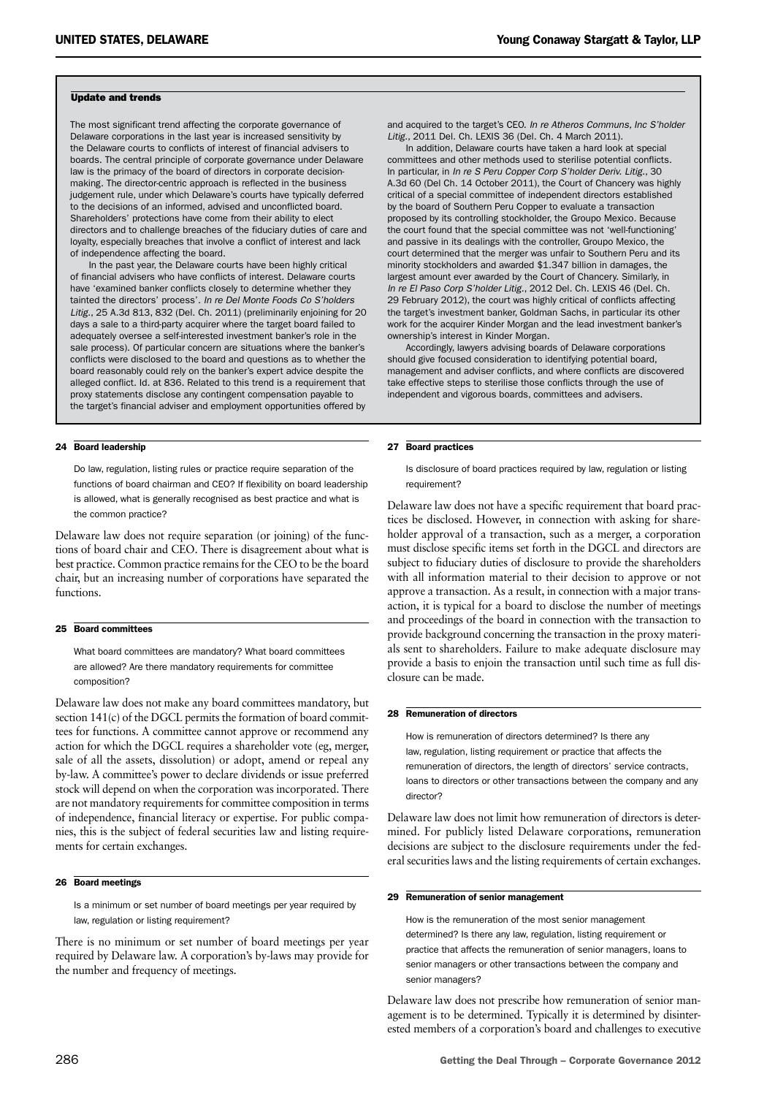#### Update and trends

The most significant trend affecting the corporate governance of Delaware corporations in the last year is increased sensitivity by the Delaware courts to conflicts of interest of financial advisers to boards. The central principle of corporate governance under Delaware law is the primacy of the board of directors in corporate decisionmaking. The director-centric approach is reflected in the business judgement rule, under which Delaware's courts have typically deferred to the decisions of an informed, advised and unconflicted board. Shareholders' protections have come from their ability to elect directors and to challenge breaches of the fiduciary duties of care and loyalty, especially breaches that involve a conflict of interest and lack of independence affecting the board.

In the past year, the Delaware courts have been highly critical of financial advisers who have conflicts of interest. Delaware courts have 'examined banker conflicts closely to determine whether they tainted the directors' process'. *In re Del Monte Foods Co S'holders Litig.*, 25 A.3d 813, 832 (Del. Ch. 2011) (preliminarily enjoining for 20 days a sale to a third-party acquirer where the target board failed to adequately oversee a self-interested investment banker's role in the sale process). Of particular concern are situations where the banker's conflicts were disclosed to the board and questions as to whether the board reasonably could rely on the banker's expert advice despite the alleged conflict. Id. at 836. Related to this trend is a requirement that proxy statements disclose any contingent compensation payable to the target's financial adviser and employment opportunities offered by

#### 24 Board leadership

Do law, regulation, listing rules or practice require separation of the functions of board chairman and CEO? If flexibility on board leadership is allowed, what is generally recognised as best practice and what is the common practice?

Delaware law does not require separation (or joining) of the functions of board chair and CEO. There is disagreement about what is best practice. Common practice remains for the CEO to be the board chair, but an increasing number of corporations have separated the functions.

#### 25 Board committees

What board committees are mandatory? What board committees are allowed? Are there mandatory requirements for committee composition?

Delaware law does not make any board committees mandatory, but section 141(c) of the DGCL permits the formation of board committees for functions. A committee cannot approve or recommend any action for which the DGCL requires a shareholder vote (eg, merger, sale of all the assets, dissolution) or adopt, amend or repeal any by-law. A committee's power to declare dividends or issue preferred stock will depend on when the corporation was incorporated. There are not mandatory requirements for committee composition in terms of independence, financial literacy or expertise. For public companies, this is the subject of federal securities law and listing requirements for certain exchanges.

#### 26 Board meetings

Is a minimum or set number of board meetings per year required by law, regulation or listing requirement?

There is no minimum or set number of board meetings per year required by Delaware law. A corporation's by-laws may provide for the number and frequency of meetings.

and acquired to the target's CEO. *In re Atheros Communs, Inc S'holder Litig.*, 2011 Del. Ch. LEXIS 36 (Del. Ch. 4 March 2011).

In addition, Delaware courts have taken a hard look at special committees and other methods used to sterilise potential conflicts. In particular, in *In re S Peru Copper Corp S'holder Deriv. Litig.*, 30 A.3d 60 (Del Ch. 14 October 2011), the Court of Chancery was highly critical of a special committee of independent directors established by the board of Southern Peru Copper to evaluate a transaction proposed by its controlling stockholder, the Groupo Mexico. Because the court found that the special committee was not 'well-functioning' and passive in its dealings with the controller, Groupo Mexico, the court determined that the merger was unfair to Southern Peru and its minority stockholders and awarded \$1.347 billion in damages, the largest amount ever awarded by the Court of Chancery. Similarly, in *In re El Paso Corp S'holder Litig.*, 2012 Del. Ch. LEXIS 46 (Del. Ch. 29 February 2012), the court was highly critical of conflicts affecting the target's investment banker, Goldman Sachs, in particular its other work for the acquirer Kinder Morgan and the lead investment banker's ownership's interest in Kinder Morgan.

Accordingly, lawyers advising boards of Delaware corporations should give focused consideration to identifying potential board, management and adviser conflicts, and where conflicts are discovered take effective steps to sterilise those conflicts through the use of independent and vigorous boards, committees and advisers.

#### 27 Board practices

Is disclosure of board practices required by law, regulation or listing requirement?

Delaware law does not have a specific requirement that board practices be disclosed. However, in connection with asking for shareholder approval of a transaction, such as a merger, a corporation must disclose specific items set forth in the DGCL and directors are subject to fiduciary duties of disclosure to provide the shareholders with all information material to their decision to approve or not approve a transaction. As a result, in connection with a major transaction, it is typical for a board to disclose the number of meetings and proceedings of the board in connection with the transaction to provide background concerning the transaction in the proxy materials sent to shareholders. Failure to make adequate disclosure may provide a basis to enjoin the transaction until such time as full disclosure can be made.

#### 28 Remuneration of directors

How is remuneration of directors determined? Is there any law, regulation, listing requirement or practice that affects the remuneration of directors, the length of directors' service contracts, loans to directors or other transactions between the company and any director?

Delaware law does not limit how remuneration of directors is determined. For publicly listed Delaware corporations, remuneration decisions are subject to the disclosure requirements under the federal securities laws and the listing requirements of certain exchanges.

#### 29 Remuneration of senior management

How is the remuneration of the most senior management determined? Is there any law, regulation, listing requirement or practice that affects the remuneration of senior managers, loans to senior managers or other transactions between the company and senior managers?

Delaware law does not prescribe how remuneration of senior management is to be determined. Typically it is determined by disinterested members of a corporation's board and challenges to executive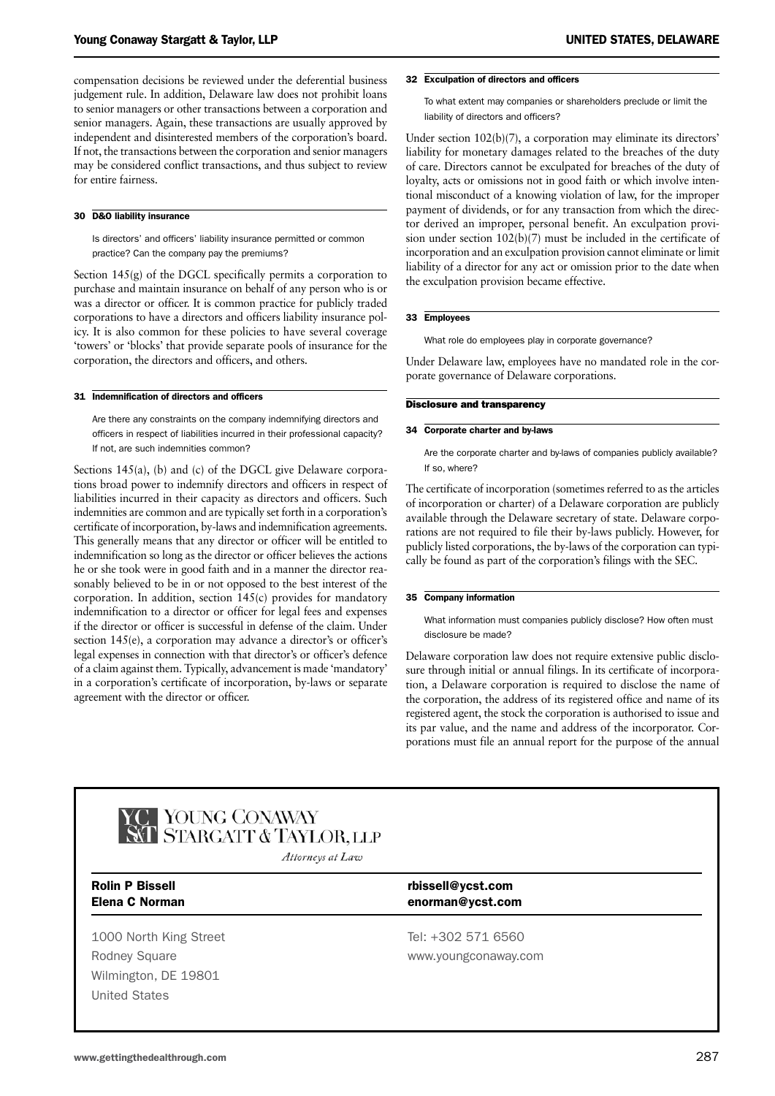compensation decisions be reviewed under the deferential business judgement rule. In addition, Delaware law does not prohibit loans to senior managers or other transactions between a corporation and senior managers. Again, these transactions are usually approved by independent and disinterested members of the corporation's board. If not, the transactions between the corporation and senior managers may be considered conflict transactions, and thus subject to review for entire fairness.

#### 30 D&O liability insurance

Is directors' and officers' liability insurance permitted or common practice? Can the company pay the premiums?

Section 145(g) of the DGCL specifically permits a corporation to purchase and maintain insurance on behalf of any person who is or was a director or officer. It is common practice for publicly traded corporations to have a directors and officers liability insurance policy. It is also common for these policies to have several coverage 'towers' or 'blocks' that provide separate pools of insurance for the corporation, the directors and officers, and others.

#### 31 Indemnification of directors and officers

Are there any constraints on the company indemnifying directors and officers in respect of liabilities incurred in their professional capacity? If not, are such indemnities common?

Sections 145(a), (b) and (c) of the DGCL give Delaware corporations broad power to indemnify directors and officers in respect of liabilities incurred in their capacity as directors and officers. Such indemnities are common and are typically set forth in a corporation's certificate of incorporation, by-laws and indemnification agreements. This generally means that any director or officer will be entitled to indemnification so long as the director or officer believes the actions he or she took were in good faith and in a manner the director reasonably believed to be in or not opposed to the best interest of the corporation. In addition, section 145(c) provides for mandatory indemnification to a director or officer for legal fees and expenses if the director or officer is successful in defense of the claim. Under section 145(e), a corporation may advance a director's or officer's legal expenses in connection with that director's or officer's defence of a claim against them. Typically, advancement is made 'mandatory' in a corporation's certificate of incorporation, by-laws or separate agreement with the director or officer.

#### 32 Exculpation of directors and officers

To what extent may companies or shareholders preclude or limit the liability of directors and officers?

Under section 102(b)(7), a corporation may eliminate its directors' liability for monetary damages related to the breaches of the duty of care. Directors cannot be exculpated for breaches of the duty of loyalty, acts or omissions not in good faith or which involve intentional misconduct of a knowing violation of law, for the improper payment of dividends, or for any transaction from which the director derived an improper, personal benefit. An exculpation provision under section 102(b)(7) must be included in the certificate of incorporation and an exculpation provision cannot eliminate or limit liability of a director for any act or omission prior to the date when the exculpation provision became effective.

#### 33 Employees

What role do employees play in corporate governance?

Under Delaware law, employees have no mandated role in the corporate governance of Delaware corporations.

#### Disclosure and transparency

#### 34 Corporate charter and by-laws

Are the corporate charter and by-laws of companies publicly available? If so, where?

The certificate of incorporation (sometimes referred to as the articles of incorporation or charter) of a Delaware corporation are publicly available through the Delaware secretary of state. Delaware corporations are not required to file their by-laws publicly. However, for publicly listed corporations, the by-laws of the corporation can typically be found as part of the corporation's filings with the SEC.

#### 35 Company information

What information must companies publicly disclose? How often must disclosure be made?

Delaware corporation law does not require extensive public disclosure through initial or annual filings. In its certificate of incorporation, a Delaware corporation is required to disclose the name of the corporation, the address of its registered office and name of its registered agent, the stock the corporation is authorised to issue and its par value, and the name and address of the incorporator. Corporations must file an annual report for the purpose of the annual



C YOUNG CONAWAY<br>AT STARGATT & TAYLOR, LLP

Attorneys at Law

1000 North King Street Tel: +302 571 6560 Rodney Square www.youngconaway.com Wilmington, DE 19801 United States

#### Rolin P Bissell **Rolin P Bissell Rolin P Bissell** Elena C Norman enorman@ycst.com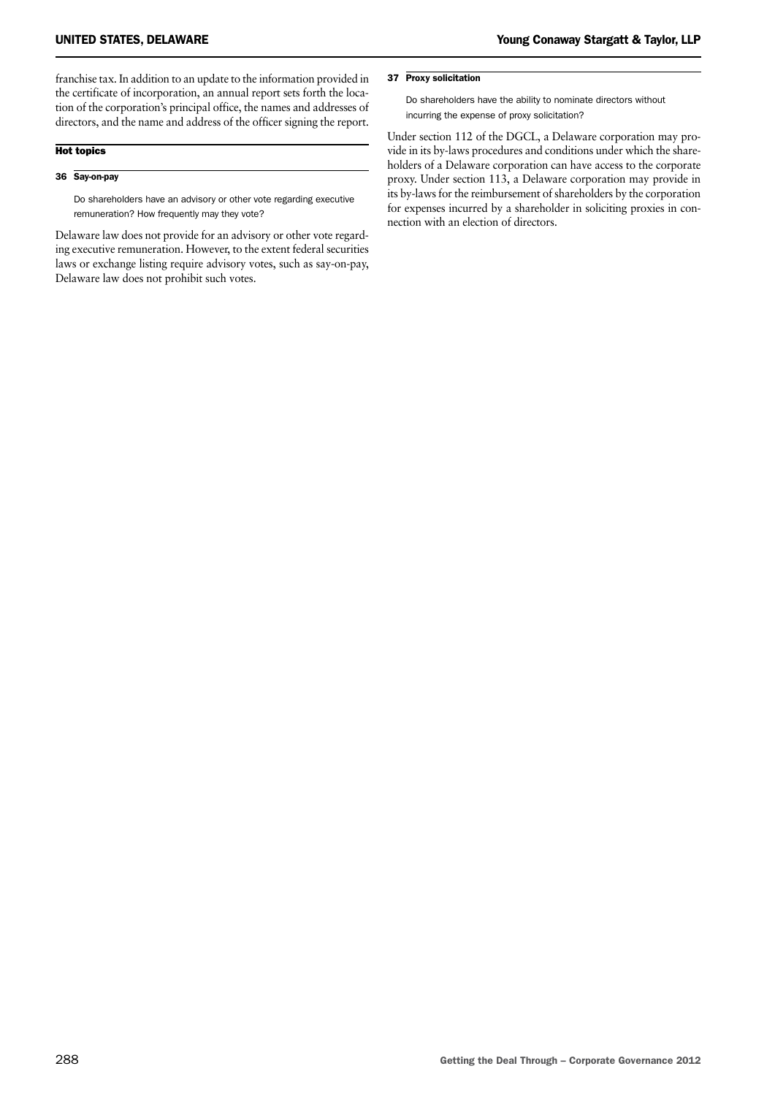franchise tax. In addition to an update to the information provided in the certificate of incorporation, an annual report sets forth the location of the corporation's principal office, the names and addresses of directors, and the name and address of the officer signing the report.

#### Hot topics

#### 36 Say-on-pay

Do shareholders have an advisory or other vote regarding executive remuneration? How frequently may they vote?

Delaware law does not provide for an advisory or other vote regarding executive remuneration. However, to the extent federal securities laws or exchange listing require advisory votes, such as say-on-pay, Delaware law does not prohibit such votes.

#### 37 Proxy solicitation

Do shareholders have the ability to nominate directors without incurring the expense of proxy solicitation?

Under section 112 of the DGCL, a Delaware corporation may provide in its by-laws procedures and conditions under which the shareholders of a Delaware corporation can have access to the corporate proxy. Under section 113, a Delaware corporation may provide in its by-laws for the reimbursement of shareholders by the corporation for expenses incurred by a shareholder in soliciting proxies in connection with an election of directors.